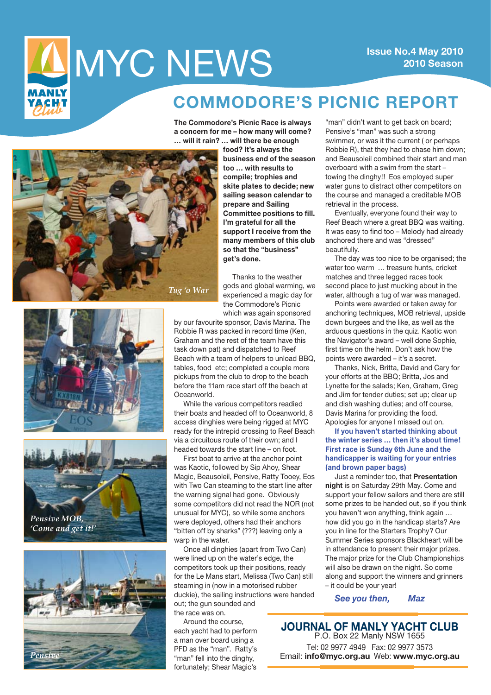

## **2010 Season**

## **COMMODORE'S PICNIC REPORT**

**The Commodore's Picnic Race is always a concern for me – how many will come? … will it rain? … will there be enough** 



**food? It's always the business end of the season too … with results to compile; trophies and skite plates to decide; new sailing season calendar to prepare and Sailing Committee positions to fill. I'm grateful for all the support I receive from the many members of this club so that the "business" get's done.** 

Thanks to the weather gods and global warming, we experienced a magic day for the Commodore's Picnic which was again sponsored







by our favourite sponsor, Davis Marina. The Robbie R was packed in record time (Ken, Graham and the rest of the team have this task down pat) and dispatched to Reef Beach with a team of helpers to unload BBQ, tables, food etc; completed a couple more pickups from the club to drop to the beach before the 11am race start off the beach at Oceanworld.

While the various competitors readied their boats and headed off to Oceanworld, 8 access dinghies were being rigged at MYC ready for the intrepid crossing to Reef Beach via a circuitous route of their own; and I headed towards the start line – on foot.

First boat to arrive at the anchor point was Kaotic, followed by Sip Ahoy, Shear Magic, Beausoleil, Pensive, Ratty Tooey, Eos with Two Can steaming to the start line after the warning signal had gone. Obviously some competitors did not read the NOR (not unusual for MYC), so while some anchors were deployed, others had their anchors "bitten off by sharks" (???) leaving only a warp in the water.

Once all dinghies (apart from Two Can) were lined up on the water's edge, the competitors took up their positions, ready for the Le Mans start, Melissa (Two Can) still steaming in (now in a motorised rubber duckie), the sailing instructions were handed out; the gun sounded and the race was on.

Around the course, each yacht had to perform a man over board using a PFD as the "man". Ratty's "man" fell into the dinghy. fortunately; Shear Magic's

"man" didn't want to get back on board; Pensive's "man" was such a strong swimmer, or was it the current ( or perhaps Robbie R), that they had to chase him down; and Beausoleil combined their start and man overboard with a swim from the start – towing the dinghy!! Eos employed super water guns to distract other competitors on the course and managed a creditable MOB retrieval in the process.

Eventually, everyone found their way to Reef Beach where a great BBQ was waiting. It was easy to find too – Melody had already anchored there and was "dressed" beautifully.

The day was too nice to be organised; the water too warm … treasure hunts, cricket matches and three legged races took second place to just mucking about in the water, although a tug of war was managed.

Points were awarded or taken away for anchoring techniques, MOB retrieval, upside down burgees and the like, as well as the arduous questions in the quiz. Kaotic won the Navigator's award – well done Sophie, first time on the helm. Don't ask how the points were awarded – it's a secret.

Thanks, Nick, Britta, David and Cary for your efforts at the BBQ; Britta, Jos and Lynette for the salads; Ken, Graham, Greg and Jim for tender duties; set up; clear up and dish washing duties; and off course, Davis Marina for providing the food. Apologies for anyone I missed out on.

**If you haven't started thinking about the winter series … then it's about time! First race is Sunday 6th June and the handicapper is waiting for your entries (and brown paper bags)**

Just a reminder too, that **Presentation night** is on Saturday 29th May. Come and support your fellow sailors and there are still some prizes to be handed out, so if you think you haven't won anything, think again … how did you go in the handicap starts? Are you in line for the Starters Trophy? Our Summer Series sponsors Blackheart will be in attendance to present their major prizes. The major prize for the Club Championships will also be drawn on the night. So come along and support the winners and grinners – it could be your year!

*See you then, Maz*

**Journal of Manly Yacht Club** P.O. Box 22 Manly NSW 1655 Tel: 02 9977 4949 Fax: 02 9977 3573 Email: **info@myc.org.au** Web: **www.myc.org.au**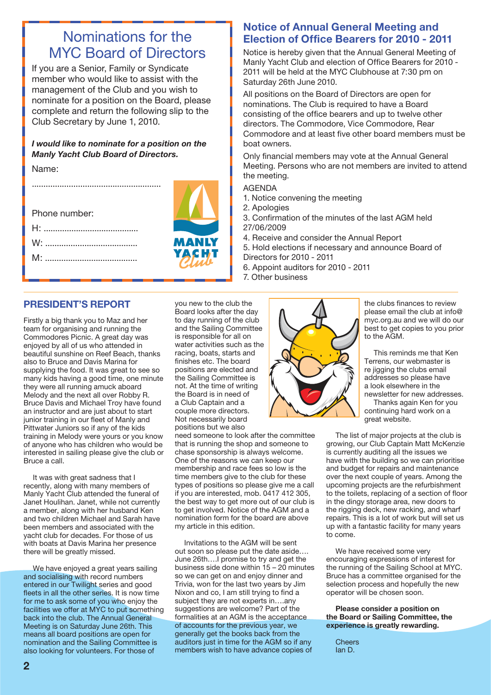### Nominations for the MYC Board of Directors

If you are a Senior, Family or Syndicate member who would like to assist with the management of the Club and you wish to nominate for a position on the Board, please complete and return the following slip to the Club Secretary by June 1, 2010.

#### *I would like to nominate for a position on the Manly Yacht Club Board of Directors.*

Name:

| Phone number: |              |
|---------------|--------------|
|               |              |
| $W^{\perp}$   | <b>MANLY</b> |
|               | YACHI        |
|               |              |

#### **PRESIDENT'S REPORT**

Firstly a big thank you to Maz and her team for organising and running the Commodores Picnic. A great day was enjoyed by all of us who attended in beautiful sunshine on Reef Beach, thanks also to Bruce and Davis Marina for supplying the food. It was great to see so many kids having a good time, one minute they were all running amuck aboard Melody and the next all over Robby R. Bruce Davis and Michael Troy have found an instructor and are just about to start junior training in our fleet of Manly and Pittwater Juniors so if any of the kids training in Melody were yours or you know of anyone who has children who would be interested in sailing please give the club or Bruce a call.

It was with great sadness that I recently, along with many members of Manly Yacht Club attended the funeral of Janet Houlihan. Janet, while not currently a member, along with her husband Ken and two children Michael and Sarah have been members and associated with the yacht club for decades. For those of us with boats at Davis Marina her presence there will be greatly missed.

We have enjoyed a great years sailing and socialising with record numbers entered in our Twilight series and good fleets in all the other series. It is now time for me to ask some of you who enjoy the facilities we offer at MYC to put something back into the club. The Annual General Meeting is on Saturday June 26th. This means all board positions are open for nomination and the Sailing Committee is also looking for volunteers. For those of

you new to the club the Board looks after the day to day running of the club and the Sailing Committee is responsible for all on water activities such as the racing, boats, starts and finishes etc. The board positions are elected and the Sailing Committee is not. At the time of writing the Board is in need of a Club Captain and a couple more directors. Not necessarily board positions but we also

need someone to look after the committee that is running the shop and someone to chase sponsorship is always welcome. One of the reasons we can keep our membership and race fees so low is the time members give to the club for these types of positions so please give me a call if you are interested, mob. 0417 412 305, the best way to get more out of our club is to get involved. Notice of the AGM and a nomination form for the board are above my article in this edition.

Invitations to the AGM will be sent out soon so please put the date aside…. June 26th….I promise to try and get the business side done within  $15 - 20$  minutes so we can get on and enjoy dinner and Trivia, won for the last two years by Jim Nixon and co, I am still trying to find a subject they are not experts in….any suggestions are welcome? Part of the formalities at an AGM is the acceptance of accounts for the previous year, we generally get the books back from the auditors just in time for the AGM so if any members wish to have advance copies of

#### **Notice of Annual General Meeting and Election of Office Bearers for 2010 - 2011**

Notice is hereby given that the Annual General Meeting of Manly Yacht Club and election of Office Bearers for 2010 - 2011 will be held at the MYC Clubhouse at 7:30 pm on Saturday 26th June 2010.

All positions on the Board of Directors are open for nominations. The Club is required to have a Board consisting of the office bearers and up to twelve other directors. The Commodore, Vice Commodore, Rear Commodore and at least five other board members must be boat owners.

Only financial members may vote at the Annual General Meeting. Persons who are not members are invited to attend the meeting.

- AGENDA
- 1. Notice convening the meeting
- 2. Apologies
- 3. Confirmation of the minutes of the last AGM held 27/06/2009
- 4. Receive and consider the Annual Report

5. Hold elections if necessary and announce Board of Directors for 2010 - 2011

- 6. Appoint auditors for 2010 2011
- 7. Other business



the clubs finances to review please email the club at info@ myc.org.au and we will do our best to get copies to you prior to the AGM.

This reminds me that Ken Terrens, our webmaster is re jigging the clubs email addresses so please have a look elsewhere in the newsletter for new addresses.

Thanks again Ken for you continuing hard work on a great website.

The list of major projects at the club is growing, our Club Captain Matt McKenzie is currently auditing all the issues we have with the building so we can prioritise and budget for repairs and maintenance over the next couple of years. Among the upcoming projects are the refurbishment to the toilets, replacing of a section of floor in the dingy storage area, new doors to the rigging deck, new racking, and wharf repairs. This is a lot of work but will set us up with a fantastic facility for many years to come.

We have received some very encouraging expressions of interest for the running of the Sailing School at MYC. Bruce has a committee organised for the selection process and hopefully the new operator will be chosen soon.

#### **Please consider a position on the Board or Sailing Committee, the experience is greatly rewarding.**

**Cheers** Ian D.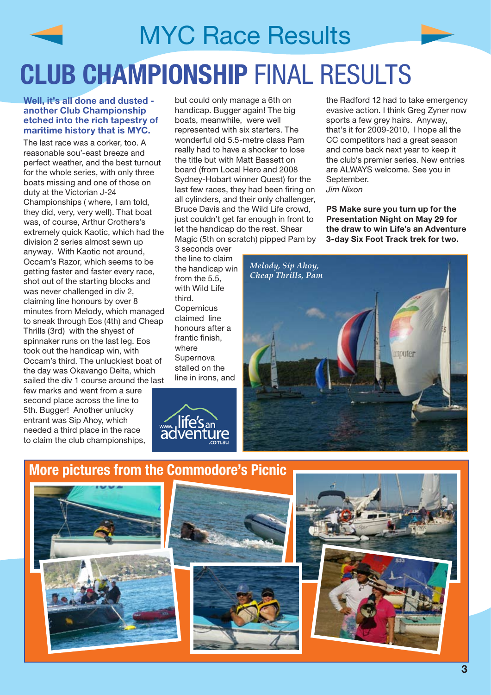# MYC Race Results **club championship** final results

#### **Well, it's all done and dusted another Club Championship etched into the rich tapestry of maritime history that is MYC.**

The last race was a corker, too. A reasonable sou'-east breeze and perfect weather, and the best turnout for the whole series, with only three boats missing and one of those on duty at the Victorian J-24 Championships ( where, I am told, they did, very, very well). That boat was, of course, Arthur Crothers's extremely quick Kaotic, which had the division 2 series almost sewn up anyway. With Kaotic not around, Occam's Razor, which seems to be getting faster and faster every race, shot out of the starting blocks and was never challenged in div 2, claiming line honours by over 8 minutes from Melody, which managed to sneak through Eos (4th) and Cheap Thrills (3rd) with the shyest of spinnaker runs on the last leg. Eos took out the handicap win, with Occam's third. The unluckiest boat of the day was Okavango Delta, which sailed the div 1 course around the last

few marks and went from a sure second place across the line to 5th. Bugger! Another unlucky entrant was Sip Ahoy, which needed a third place in the race to claim the club championships, but could only manage a 6th on handicap. Bugger again! The big boats, meanwhile, were well represented with six starters. The wonderful old 5.5-metre class Pam really had to have a shocker to lose the title but with Matt Bassett on board (from Local Hero and 2008 Sydney-Hobart winner Quest) for the last few races, they had been firing on all cylinders, and their only challenger, Bruce Davis and the Wild Life crowd, just couldn't get far enough in front to let the handicap do the rest. Shear Magic (5th on scratch) pipped Pam by

3 seconds over the line to claim the handicap win from the 5.5 with Wild Life third. **Copernicus** claimed line honours after a frantic finish, where Supernova stalled on the line in irons, and



the Radford 12 had to take emergency evasive action. I think Greg Zyner now sports a few grey hairs. Anyway, that's it for 2009-2010, I hope all the CC competitors had a great season and come back next year to keep it the club's premier series. New entries are ALWAYS welcome. See you in September. *Jim Nixon*

**PS Make sure you turn up for the Presentation Night on May 29 for the draw to win Life's an Adventure 3-day Six Foot Track trek for two.**









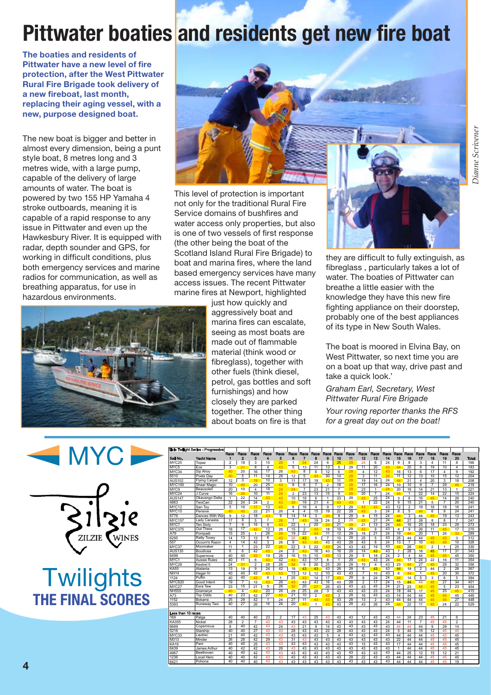## **Pittwater boaties and residents get new fire boat**

**The boaties and residents of Pittwater have a new level of fire protection, after the West Pittwater Rural Fire Brigade took delivery of a new fireboat, last month, replacing their aging vessel, with a new, purpose designed boat.** 

The new boat is bigger and better in almost every dimension, being a punt style boat, 8 metres long and 3 metres wide, with a large pump. capable of the delivery of large amounts of water. The boat is powered by two 155 HP Yamaha 4 stroke outboards, meaning it is capable of a rapid response to any issue in Pittwater and even up the Hawkesbury River. It is equipped with radar, depth sounder and GPS, for working in difficult conditions, plus both emergency services and marine radios for communication, as well as breathing apparatus, for use in hazardous environments.





This level of protection is important not only for the traditional Rural Fire Service domains of bushfires and water access only properties, but also is one of two vessels of first response (the other being the boat of the Scotland Island Rural Fire Brigade) to boat and marina fires, where the land based emergency services have many access issues. The recent Pittwater marine fires at Newport, highlighted

> just how quickly and aggressively boat and marina fires can escalate, seeing as most boats are made out of flammable material (think wood or fibreglass), together with other fuels (think diesel, petrol, gas bottles and soft furnishings) and how closely they are parked together. The other thing about boats on fire is that



they are difficult to fully extinguish, as fibreglass , particularly takes a lot of water. The boaties of Pittwater can breathe a little easier with the knowledge they have this new fire fighting appliance on their doorstep, probably one of the best appliances of its type in New South Wales.

The boat is moored in Elvina Bay, on West Pittwater, so next time you are on a boat up that way, drive past and take a quick look.'

#### *Graham Earl, Secretary, West Pittwater Rural Fire Brigade*

*Your roving reporter thanks the RFS for a great day out on the boat!*



**Twilights The final scores**

|                       | Zilzie Twilight Series - Progressive |                      |                |                      |                      |                    |                      |                      |                      |                      |                      |          |                 |                       |                 |                               |                         |                      |                    |                               |                      |              |
|-----------------------|--------------------------------------|----------------------|----------------|----------------------|----------------------|--------------------|----------------------|----------------------|----------------------|----------------------|----------------------|----------|-----------------|-----------------------|-----------------|-------------------------------|-------------------------|----------------------|--------------------|-------------------------------|----------------------|--------------|
|                       |                                      | Race<br>1            | Race           | Race<br>3            | Race<br>4            | Race<br>5          | Race<br>A            | Race<br>7            | Race<br>8            | Race<br>g            | Race                 | Race     | Race<br>12      | Race                  | Race<br>14      | Race<br>15                    | Race<br>16              | Race<br>17           | Race<br>18         | Race                          | Race<br>20           |              |
| Sail No.<br>MYC25     | Yacht Name                           |                      | $\overline{2}$ | 3                    |                      |                    |                      |                      |                      |                      | 10<br>25             | 11       |                 | 13<br>6               | 24              | 9                             |                         |                      | 4                  | 19                            |                      | <b>Total</b> |
|                       | Topaz<br>Eos                         | $\overline{2}$       | 18<br>21       |                      | 15<br>$\overline{4}$ | 26                 | $\mathbf{1}$         | 24                   | 24                   | 6                    |                      | 29<br>29 | 24              |                       |                 |                               | 8                       | 3                    |                    | 11                            | 8                    | 166          |
| MYC5<br>MYC34         | Sip Ahov                             | 3<br>40              | 20             | 8<br>16              | 17                   | 43<br>26           | 5<br>43              | 13<br>$\overline{8}$ | 11<br>6              | 13<br>12             | 5<br>6               | 29       | 11<br>4         | 20<br>12              | 43<br>43        | 44<br>16                      | 20<br>13                | 8<br>6               | 19<br>17           | 10<br>$\overline{\mathbf{4}}$ | 4<br>9               | 183<br>192   |
| 6510                  |                                      |                      | 5              | 11                   | 14                   | 26                 | 12                   | 5                    |                      | 30                   | 14                   | 29       | 3               | 11                    | 24              | 11                            | 12                      | 13                   | 10                 | 15                            | 12                   | 204          |
| <b>AUS102</b>         | Poets Day<br><b>Flying Carpet</b>    | 40<br>12             | 3              | 19                   | 10                   | 3                  | 11                   | 17                   | 43<br>18             | 43                   | 11                   | 29       | 19              | 14                    | 24              | 44                            | 21                      | $\overline{4}$       | 20                 | 3                             | 18                   | 208          |
| <b>MYC100</b>         | <b>Shear Magic</b>                   | 10                   | 40             | 20                   | 25                   | 43                 | 8                    | 6                    | $\overline{7}$       | $\overline{2}$       | 18                   | 29       | 17              | 16                    | 24              | 10                            | 10                      | 9                    | $\overline{7}$     | 29                            |                      | 218          |
| MYC9                  | Beausoleil                           | 20                   | 10             | 4                    | 18                   | 24                 | 24                   | $\overline{7}$       | 23                   | 21                   | $\overline{7}$       | 29       | $\overline{23}$ | $\mathbf{1}$          | 24              | 20                            | 18                      | 14                   | 21                 | 13                            | 45<br>$\mathbf{1}$   | 221          |
| MYC24                 | J Curve                              | 16                   | 26             | 10                   | 11                   | 26                 | $\overline{2}$       | 23                   | 13                   | 15                   | 9                    | 29       | 20              | $\overline{7}$        | 24              | 44                            | 1                       | 22                   | 14                 | 22                            | 15                   | 224          |
| <b>AUS147</b>         | Okavango Delta                       |                      | 22             |                      | 43                   | 43                 | 10                   | 18                   | 8                    | 1                    | 23                   | 29       | 43              | 25                    | 24              | 3                             | 6                       | 16                   | 45                 | 14                            | 26                   | 240          |
| 4863                  | TwoCan                               | $\mathbf{1}$<br>22   | 24             | 14<br>24             | $\overline{2}$       | 43                 |                      | 19                   | 21                   | $\overline{4}$       |                      | 43       | $\mathbf{1}$    | $\overline{22}$       | 24              | 9                             | 15                      | 21                   | 5                  | $\overline{7}$                | 20                   | 240          |
| MYC12                 |                                      | 5                    | 16             |                      | 13                   | 43                 | 30<br>6              | 16                   | $\overline{4}$       | 9                    | 43<br>17             | 29       | 43              |                       | 43              | 12                            | $\overline{2}$          | 19                   | 16                 | 18                            | 16                   | 241          |
| MYC10                 | San Tov                              | 40                   | 40             | 17<br>22             | 21                   | 26                 | $\overline{4}$       | $\overline{4}$       | 15                   | 19                   | 22                   | 29       | 43              | 43<br>3               | 24              | 8                             | 5                       | 44                   | 6                  | 9                             | 24                   | 241          |
|                       | Pensive                              |                      |                |                      |                      |                    |                      |                      |                      |                      |                      | 29       |                 |                       | 24              |                               |                         |                      |                    |                               |                      |              |
| 6776                  | Dances With Way                      | 9                    | 12             | 18<br>$\overline{5}$ | 43                   | 9                  | 14                   | 14                   | 3<br>19              | 20                   | 8                    |          | 9               | 15<br>$\overline{27}$ | 24              | 44                            | 3                       | 44                   | 45                 | 19                            | 13                   | 243<br>247   |
| <b>MYC157</b><br>MYC7 | Lady Canasta<br><b>Ten Sixtv</b>     | 17<br>$\overline{7}$ | 8<br>9         | 15                   | $\overline{7}$<br>9  | 26<br>43           | $\overline{7}$<br>22 | 43<br>$\mathbf{1}$   | 20                   | 24<br>23             | $\overline{2}$<br>21 | 29<br>29 | 43<br>21        | 13                    | 24              | 44<br>44                      | 27<br>16                | 28<br>25             | 8<br>18            | 8<br>23                       | $\overline{7}$<br>29 | 273          |
|                       | Out There                            |                      | 17             |                      |                      |                    |                      |                      |                      |                      |                      | 29       | 43              |                       | 43              |                               |                         |                      |                    |                               |                      |              |
| <b>MYC375</b>         |                                      | 18                   | 25             | 42                   | 12<br>26             | 26                 | 15                   | $\overline{2}$       | 43                   | 18                   | 19                   | 29       |                 | 9                     | $\overline{24}$ | 4                             | 9                       | 26                   | 11                 | 45                            | 17                   | 275          |
| A79<br>6295           | Pompadi                              | 15                   | 13             | $\mathbf{1}$<br>13   | 6                    | 26<br>43           | 19<br>26             | 22                   | 43<br>5              | 11<br>$\overline{7}$ | 12<br>10             | 29       | 18<br>25        | $\overline{21}$<br>5  | 43              | 19<br>25                      | 44<br>44                | 20<br>44             | $\mathbf{1}$<br>45 | 26                            | 33<br>3              | 289<br>312   |
| 557                   | <b>Ratty Tooev</b>                   | 14<br>4              | 14             | 42                   | 3                    | 26                 | 9                    | 43<br>43             | 43                   | 43                   |                      | 29       | 43              | 8                     | 24              | 13                            | $\overline{7}$          | 10                   | 45                 | 45<br>45                      | 10                   | 328          |
|                       | Occum's Razor                        |                      | $\mathbf{1}$   |                      | 22                   |                    |                      |                      |                      |                      | 43                   |          |                 |                       | 43              |                               |                         |                      |                    |                               |                      |              |
| MYC37                 | Moonraker                            | 11                   |                | 23                   |                      | 26                 | 22                   | 3                    | 22                   | 43<br>43             | 24                   | 43       | 43              | 19                    | 43              | 44<br>$\overline{7}$          | 26<br>28                | 44                   | $\overline{c}$     | $\mathbf{1}$<br>17            | 25<br>31             | 330          |
| <b>AUS135</b>         | Boudicea                             | 6                    | 6<br>40        | 42                   | 43                   | 24                 | 3                    | 43                   | 16                   |                      | 16                   | 29       | 14              | 43                    |                 |                               | $\overline{\mathbf{4}}$ | 18<br>44             | 45                 |                               | 45                   | 343          |
| 6499                  | Supernova<br>Aussie Rules            | 40<br>40             | 11             | 42                   | 19<br>43             | 26<br>42           | 16<br>43             | 15<br>43             | 10                   | 43                   | 13<br>$\mathbf{1}$   | 29<br>29 | 5<br>43         | 18<br>43              | 24<br>24        | $\overline{\mathbf{c}}$<br>44 |                         |                      | 45                 | 45                            |                      | 350          |
| MYC1<br>MYC28         | Kestrel II                           |                      | 31             | 6                    | 28                   | 26                 | 34                   | $\overline{9}$       | 17<br>26             | 8<br>25              | 20                   | 29       | 10              | $\overline{4}$        | 43              | 23                            | 17<br>44                | 24                   | 22                 | 16<br>28                      | 11<br>32             | 354<br>356   |
| <b>KA55</b>           | Atalanta                             | 24<br>13             | 19             | $\overline{2}$<br>9  | 24                   | 42                 | 18                   | 43                   | 43                   | 43                   | 26                   | 29       | 6               | 43                    | 43              | 44                            | 19                      | 27<br>$\overline{2}$ | 45<br>44           | $\overline{2}$                | 28                   | 367          |
| <b>NH14</b>           | Hagar IV                             | 40                   | 40             | 42                   | 43                   | 43                 | 13                   | 12                   | 12                   | 10                   | 43                   | 43       | $\overline{7}$  | 10                    | 43              | 6                             | 44                      | $\mathbf{1}$         | 45                 | 20                            | 30                   | 372          |
|                       | Puffin                               | 40                   | 40             | 42                   | 8                    |                    |                      |                      |                      | 17                   |                      | 29       | 8               | 24                    | 24              | 44                            |                         |                      | 3                  |                               |                      |              |
| 1124<br><b>MYC820</b> |                                      | 19                   | $\overline{7}$ | 12                   |                      | $\mathbf{1}$<br>26 | 25                   | 43<br>43             | 14<br>43             | 16                   | 43<br>43             | 29       | $\overline{2}$  | 17                    | 24              | 15                            | 14                      | 5                    |                    | 6<br>27                       | 5<br>34              | 394<br>401   |
| MYC27                 | Good Intent                          | 23                   | 15             | 21                   | 43<br>$\overline{5}$ | 26                 | 43<br>32             | 20                   | 27                   | 26                   | 43                   | 43       | 43              | 43                    | 24              | 21                            | 44<br>23                | 44<br>44             | 45<br>45           | 5                             | 23                   | 404          |
|                       | Esra Tew                             | 40                   | 4              | 42                   | 20                   | 26                 | 29                   | 25                   |                      |                      |                      | 43       | 43              |                       | 24              |                               | 44                      |                      |                    |                               |                      |              |
| <b>NH555</b>          | Gramarye                             | 40                   | 23             |                      | 27                   | 43                 | 21                   | 10                   | 28                   | 3                    | 43                   | 29       |                 | 23<br>43              |                 | 18                            |                         | 17                   | 45<br>45           | 25                            | 45                   | 415          |
| A73<br>1152           | <b>Top Odds</b>                      | 25                   | 29             | 42<br>42             | $\mathbf{1}$         | 24                 | 27                   | 11                   | $\overline{2}$<br>43 | 43<br>43             | 3<br>43              | 29       | 16<br>13        | $\overline{2}$        | 43<br>43        | 14<br>44                      | 44<br>44                | 44                   | 45                 | 45<br>45                      | 45<br>27             | 446<br>448   |
| 5393                  | Bokarra<br>Runaway Taxi              | 40                   | 27             | 26                   | 16                   | 26                 | 20                   | 43                   | $\mathbf{1}$         | 43                   | 43                   | 29       | 43              | 26                    | 24              | 44                            | 22                      | 44<br>11             | 45                 | 24                            | 22                   | 529          |
|                       |                                      |                      |                |                      |                      |                    |                      |                      |                      |                      |                      |          |                 |                       |                 |                               |                         |                      |                    |                               |                      |              |
| Less than 10 races    |                                      |                      |                |                      |                      |                    |                      |                      |                      |                      |                      |          |                 |                       |                 |                               |                         |                      |                    |                               |                      |              |
| 169                   | Palga                                | 40                   | 40             | 40                   | 23                   | $\overline{c}$     | 17                   | 43                   | 25                   | 43                   | 43                   | 43       | 12              | 43                    | 43              | 44                            | 24                      | 23                   | 45                 | 21                            | 6                    |              |
| KA355                 | Nickel                               | 28                   | $\overline{2}$ | $\overline{7}$       | 43                   | 43                 | 43                   | 43                   | 43                   | 43                   | 43                   | 43       | 43              | 43                    | 24              | 44                            | 11                      | $\overline{7}$       | 45                 | 45                            | $\overline{2}$       |              |
| 6689                  | Copernicus                           | 8                    | 40             | 42                   | 43                   | 24                 | 43                   | 21                   | 9                    | 14                   | 43                   | 43       | 43              | 43                    | 43              | 44                            | 44                      | 44                   | 9                  | 29                            | 14                   |              |
| 5216                  | Starship                             | 40                   | 40             | 27                   | 43                   | 43                 | 28                   | 43                   | 43                   | 22                   | 28                   | 43       | 43              | 43                    | 24              | 5                             | 44                      | 15                   | 12                 | 45                            | 45                   |              |
| MYC33                 | Lautrec                              | 21                   | 40             | 42                   | 43                   | 43                 | 43                   | 43                   | 43                   | 5                    | 4                    | 43       | 43              | 43                    | 43              | 44                            | 44                      | 44                   | 45                 | 45                            | 45                   |              |
| M313                  | Minder                               | 26                   | 28             | 42                   | 29                   | 43                 | 31                   | 43                   | 43                   | 43                   | 43                   | 43       | 43              | 43                    | 43              | 22                            | 44                      | 44                   | 45                 | 45                            | 45                   |              |
| KA16                  | Pam                                  | 40                   | 40             | 25                   | 43                   | 43                 | 43                   | 43                   | 43                   | 43                   | 43                   | 43       | 15              | 43                    | 43              | 17                            | 44                      | 44                   | 45                 | 45                            | 45                   |              |
| 6439                  | James Arthur                         | 40                   | 42             | 42                   | 43                   | 26                 | 43                   | 43                   | 43                   | 43                   | 43                   | 43       | 43              | 43                    | 43              | 1                             | 44                      | 44                   | 45                 | 45                            | 45                   |              |
| 4967                  | Beethoven                            | 40                   | 40             | 42                   | 43                   | 43                 | 43                   | 43                   | 43                   | 43                   | 43                   | 43       | 43              | 43                    | 43              | 44                            | 25                      | 12                   | 15                 | 12                            | 21                   |              |
| 1236                  | Local Hero                           | 40                   | 40             | 42                   | 43                   | 43                 | 43                   | 43                   | 43                   | 43                   | 43                   | 29       | 22              | 43                    | 43              | 44                            | 44                      | 44                   | 45                 | 45                            | 45                   |              |
| 6421                  | Pohona                               | 40                   | 40             | 40                   | 43                   | 43                 | 43                   | 43                   | 43                   | 43                   | 43                   | 43       | 43              | 43                    | 43              | 44                            | 44                      | 44                   | 45                 | 45                            | 19                   |              |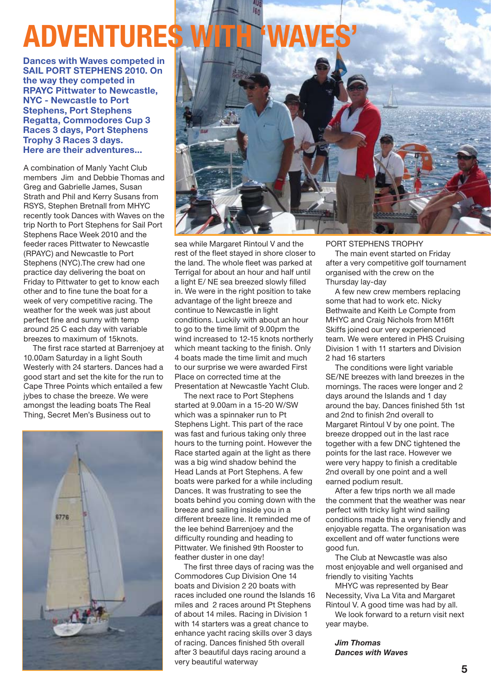# **Adventures with 'waves'**

**Dances with Waves competed in sail port Stephens 2010. On the way they competed in RPAYC Pittwater to Newcastle, NYC - Newcastle to Port Stephens, Port Stephens Regatta, Commodores Cup 3 Races 3 days, Port Stephens Trophy 3 Races 3 days. Here are their adventures...**

A combination of Manly Yacht Club members Jim and Debbie Thomas and Greg and Gabrielle James, Susan Strath and Phil and Kerry Susans from RSYS, Stephen Bretnall from MHYC recently took Dances with Waves on the trip North to Port Stephens for Sail Port Stephens Race Week 2010 and the feeder races Pittwater to Newcastle (RPAYC) and Newcastle to Port Stephens (NYC).The crew had one practice day delivering the boat on Friday to Pittwater to get to know each other and to fine tune the boat for a week of very competitive racing. The weather for the week was just about perfect fine and sunny with temp around 25 C each day with variable breezes to maximum of 15knots.

The first race started at Barrenjoey at 10.00am Saturday in a light South Westerly with 24 starters. Dances had a good start and set the kite for the run to Cape Three Points which entailed a few jybes to chase the breeze. We were amongst the leading boats The Real Thing, Secret Men's Business out to





sea while Margaret Rintoul V and the rest of the fleet stayed in shore closer to the land. The whole fleet was parked at Terrigal for about an hour and half until a light E/ NE sea breezed slowly filled in. We were in the right position to take advantage of the light breeze and continue to Newcastle in light conditions. Luckily with about an hour to go to the time limit of 9.00pm the wind increased to 12-15 knots northerly which meant tacking to the finish. Only 4 boats made the time limit and much to our surprise we were awarded First Place on corrected time at the Presentation at Newcastle Yacht Club.

The next race to Port Stephens started at 9.00am in a 15-20 W/SW which was a spinnaker run to Pt Stephens Light. This part of the race was fast and furious taking only three hours to the turning point. However the Race started again at the light as there was a big wind shadow behind the Head Lands at Port Stephens. A few boats were parked for a while including Dances. It was frustrating to see the boats behind you coming down with the breeze and sailing inside you in a different breeze line. It reminded me of the lee behind Barrenjoey and the difficulty rounding and heading to Pittwater. We finished 9th Rooster to feather duster in one day!

The first three days of racing was the Commodores Cup Division One 14 boats and Division 2 20 boats with races included one round the Islands 16 miles and 2 races around Pt Stephens of about 14 miles. Racing in Division 1 with 14 starters was a great chance to enhance yacht racing skills over 3 days of racing. Dances finished 5th overall after 3 beautiful days racing around a very beautiful waterway

Port Stephens Trophy

The main event started on Friday after a very competitive golf tournament organised with the crew on the Thursday lay-day

A few new crew members replacing some that had to work etc. Nicky Bethwaite and Keith Le Compte from MHYC and Craig Nichols from M16ft Skiffs joined our very experienced team. We were entered in PHS Cruising Division 1 with 11 starters and Division 2 had 16 starters

The conditions were light variable SE/NE breezes with land breezes in the mornings. The races were longer and 2 days around the Islands and 1 day around the bay. Dances finished 5th 1st and 2nd to finish 2nd overall to Margaret Rintoul V by one point. The breeze dropped out in the last race together with a few DNC tightened the points for the last race. However we were very happy to finish a creditable 2nd overall by one point and a well earned podium result.

After a few trips north we all made the comment that the weather was near perfect with tricky light wind sailing conditions made this a very friendly and enjoyable regatta. The organisation was excellent and off water functions were good fun.

The Club at Newcastle was also most enjoyable and well organised and friendly to visiting Yachts

MHYC was represented by Bear Necessity, Viva La Vita and Margaret Rintoul V. A good time was had by all.

We look forward to a return visit next year maybe.

*Jim Thomas Dances with Waves*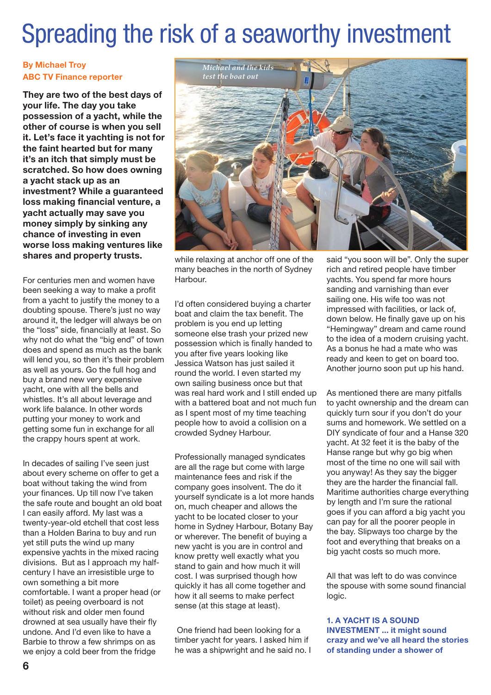## Spreading the risk of a seaworthy investment

#### **By Michael Troy ABC TV Finance reporter**

**They are two of the best days of your life. The day you take possession of a yacht, while the other of course is when you sell it. Let's face it yachting is not for the faint hearted but for many it's an itch that simply must be scratched. So how does owning a yacht stack up as an investment? While a guaranteed loss making financial venture, a yacht actually may save you money simply by sinking any chance of investing in even worse loss making ventures like shares and property trusts.** 

For centuries men and women have been seeking a way to make a profit from a yacht to justify the money to a doubting spouse. There's just no way around it, the ledger will always be on the "loss" side, financially at least. So why not do what the "big end" of town does and spend as much as the bank will lend you, so then it's their problem as well as yours. Go the full hog and buy a brand new very expensive yacht, one with all the bells and whistles. It's all about leverage and work life balance. In other words putting your money to work and getting some fun in exchange for all the crappy hours spent at work.

In decades of sailing I've seen just about every scheme on offer to get a boat without taking the wind from your finances. Up till now I've taken the safe route and bought an old boat I can easily afford. My last was a twenty-year-old etchell that cost less than a Holden Barina to buy and run yet still puts the wind up many expensive yachts in the mixed racing divisions. But as I approach my halfcentury I have an irresistible urge to own something a bit more comfortable. I want a proper head (or toilet) as peeing overboard is not without risk and older men found drowned at sea usually have their fly undone. And I'd even like to have a Barbie to throw a few shrimps on as we enjoy a cold beer from the fridge



while relaxing at anchor off one of the many beaches in the north of Sydney Harbour.

I'd often considered buying a charter boat and claim the tax benefit. The problem is you end up letting someone else trash your prized new possession which is finally handed to you after five years looking like Jessica Watson has just sailed it round the world. I even started my own sailing business once but that was real hard work and I still ended up with a battered boat and not much fun as I spent most of my time teaching people how to avoid a collision on a crowded Sydney Harbour.

Professionally managed syndicates are all the rage but come with large maintenance fees and risk if the company goes insolvent. The do it yourself syndicate is a lot more hands on, much cheaper and allows the yacht to be located closer to your home in Sydney Harbour, Botany Bay or wherever. The benefit of buying a new yacht is you are in control and know pretty well exactly what you stand to gain and how much it will cost. I was surprised though how quickly it has all come together and how it all seems to make perfect sense (at this stage at least).

 One friend had been looking for a timber yacht for years. I asked him if he was a shipwright and he said no. I

said "you soon will be". Only the super rich and retired people have timber yachts. You spend far more hours sanding and varnishing than ever sailing one. His wife too was not impressed with facilities, or lack of, down below. He finally gave up on his "Hemingway" dream and came round to the idea of a modern cruising yacht. As a bonus he had a mate who was ready and keen to get on board too. Another journo soon put up his hand.

As mentioned there are many pitfalls to yacht ownership and the dream can quickly turn sour if you don't do your sums and homework. We settled on a DIY syndicate of four and a Hanse 320 yacht. At 32 feet it is the baby of the Hanse range but why go big when most of the time no one will sail with you anyway! As they say the bigger they are the harder the financial fall. Maritime authorities charge everything by length and I'm sure the rational goes if you can afford a big yacht you can pay for all the poorer people in the bay. Slipways too charge by the foot and everything that breaks on a big yacht costs so much more.

All that was left to do was convince the spouse with some sound financial logic.

**1. A yacht is a sound investment ... it might sound crazy and we've all heard the stories of standing under a shower of**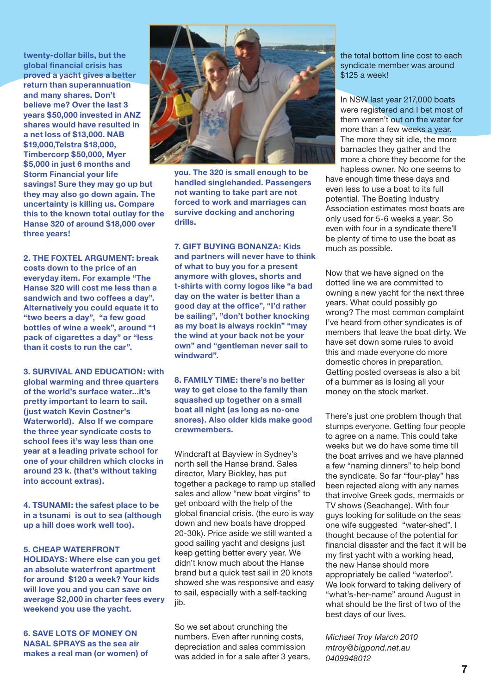**twenty-dollar bills, but the global financial crisis has proved a yacht gives a better return than superannuation and many shares. Don't believe me? Over the last 3 years \$50,000 invested in ANZ shares would have resulted in a net loss of \$13,000. NAB \$19,000,Telstra \$18,000, Timbercorp \$50,000, Myer \$5,000 in just 6 months and Storm Financial your life savings! Sure they may go up but they may also go down again. The uncertainty is killing us. Compare this to the known total outlay for the Hanse 320 of around \$18,000 over three years!**

**2. The Foxtel argument: break costs down to the price of an everyday item. For example "The Hanse 320 will cost me less than a sandwich and two coffees a day". Alternatively you could equate it to "two beers a day", "a few good bottles of wine a week", around "1 pack of cigarettes a day" or "less than it costs to run the car".**

#### **3. Survival and education: with**

**global warming and three quarters of the world's surface water...it's pretty important to learn to sail. (just watch Kevin Costner's Waterworld). Also If we compare the three year syndicate costs to school fees it's way less than one year at a leading private school for one of your children which clocks in around 23 k. (that's without taking into account extras).**

**4. Tsunami: the safest place to be in a tsunami is out to sea (although up a hill does work well too).** 

#### **5. Cheap waterfront**

**holidays: Where else can you get an absolute waterfront apartment for around \$120 a week? Your kids will love you and you can save on average \$2,000 in charter fees every weekend you use the yacht.**

**6. Save lots of money on nasal sprays as the sea air makes a real man (or women) of** 



**you. The 320 is small enough to be handled singlehanded. Passengers not wanting to take part are not forced to work and marriages can survive docking and anchoring drills.**

**7. Gift buying bonanza: Kids and partners will never have to think of what to buy you for a present anymore with gloves, shorts and t-shirts with corny logos like "a bad day on the water is better than a good day at the office", "I'd rather be sailing", "don't bother knocking as my boat is always rockin" "may the wind at your back not be your own" and "gentleman never sail to windward".** 

**8. Family time: there's no better way to get close to the family than squashed up together on a small boat all night (as long as no-one snores). Also older kids make good crewmembers.**

Windcraft at Bayview in Sydney's north sell the Hanse brand. Sales director, Mary Bickley, has put together a package to ramp up stalled sales and allow "new boat virgins" to get onboard with the help of the global financial crisis. (the euro is way down and new boats have dropped 20-30k). Price aside we still wanted a good sailing yacht and designs just keep getting better every year. We didn't know much about the Hanse brand but a quick test sail in 20 knots showed she was responsive and easy to sail, especially with a self-tacking jib.

So we set about crunching the numbers. Even after running costs, depreciation and sales commission was added in for a sale after 3 years, the total bottom line cost to each syndicate member was around \$125 a week!

In NSW last year 217,000 boats were registered and I bet most of them weren't out on the water for more than a few weeks a year. The more they sit idle, the more barnacles they gather and the more a chore they become for the hapless owner. No one seems to

have enough time these days and even less to use a boat to its full potential. The Boating Industry Association estimates most boats are only used for 5-6 weeks a year. So even with four in a syndicate there'll be plenty of time to use the boat as much as possible.

Now that we have signed on the dotted line we are committed to owning a new yacht for the next three years. What could possibly go wrong? The most common complaint I've heard from other syndicates is of members that leave the boat dirty. We have set down some rules to avoid this and made everyone do more domestic chores in preparation. Getting posted overseas is also a bit of a bummer as is losing all your money on the stock market.

There's just one problem though that stumps everyone. Getting four people to agree on a name. This could take weeks but we do have some time till the boat arrives and we have planned a few "naming dinners" to help bond the syndicate. So far "four-play" has been rejected along with any names that involve Greek gods, mermaids or TV shows (Seachange). With four guys looking for solitude on the seas one wife suggested "water-shed". I thought because of the potential for financial disaster and the fact it will be my first yacht with a working head, the new Hanse should more appropriately be called "waterloo". We look forward to taking delivery of "what's-her-name" around August in what should be the first of two of the best days of our lives.

*Michael Troy March 2010 mtroy@bigpond.net.au 0409948012*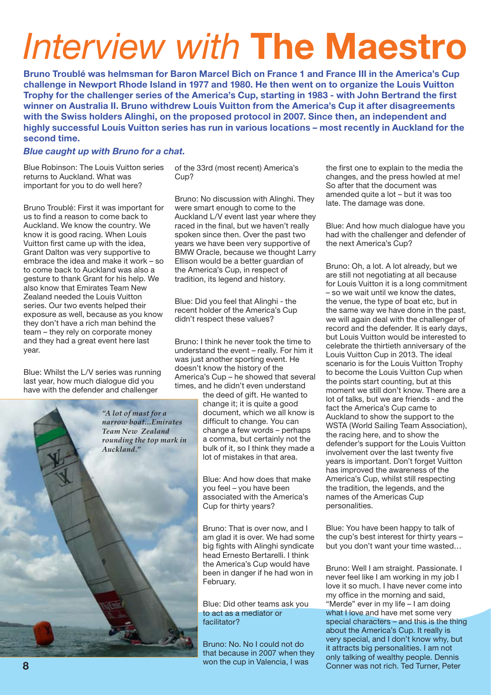# *Interview with* **The Maestro**

**Bruno Troublé was helmsman for Baron Marcel Bich on France 1 and France III in the America's Cup challenge in Newport Rhode Island in 1977 and 1980. He then went on to organize the Louis Vuitton Trophy for the challenger series of the America's Cup, starting in 1983 - with John Bertrand the first winner on Australia II. Bruno withdrew Louis Vuitton from the America's Cup it after disagreements with the Swiss holders Alinghi, on the proposed protocol in 2007. Since then, an independent and highly successful Louis Vuitton series has run in various locations – most recently in Auckland for the second time.** 

#### *Blue caught up with Bruno for a chat.*

Blue Robinson: The Louis Vuitton series returns to Auckland. What was important for you to do well here?

Bruno Troublé: First it was important for us to find a reason to come back to Auckland. We know the country. We know it is good racing. When Louis Vuitton first came up with the idea, Grant Dalton was very supportive to embrace the idea and make it work – so to come back to Auckland was also a gesture to thank Grant for his help. We also know that Emirates Team New Zealand needed the Louis Vuitton series. Our two events helped their exposure as well, because as you know they don't have a rich man behind the team – they rely on corporate money and they had a great event here last year.

Blue: Whilst the L/V series was running last year, how much dialogue did you have with the defender and challenger

*"A lot of mast for a narrow boat...Emirates Team New Zealand rounding the top mark in Auckland."*

of the 33rd (most recent) America's Cup?

Bruno: No discussion with Alinghi. They were smart enough to come to the Auckland L/V event last year where they raced in the final, but we haven't really spoken since then. Over the past two years we have been very supportive of BMW Oracle, because we thought Larry Ellison would be a better guardian of the America's Cup, in respect of tradition, its legend and history.

Blue: Did you feel that Alinghi - the recent holder of the America's Cup didn't respect these values?

Bruno: I think he never took the time to understand the event – really. For him it was just another sporting event. He doesn't know the history of the America's Cup – he showed that several times, and he didn't even understand

the deed of gift. He wanted to change it; it is quite a good document, which we all know is difficult to change. You can change a few words – perhaps a comma, but certainly not the bulk of it, so I think they made a lot of mistakes in that area.

Blue: And how does that make you feel – you have been associated with the America's Cup for thirty years?

Bruno: That is over now, and I am glad it is over. We had some big fights with Alinghi syndicate head Ernesto Bertarelli. I think the America's Cup would have been in danger if he had won in February.

Blue: Did other teams ask you to act as a mediator or facilitator?

Bruno: No. No I could not do that because in 2007 when they won the cup in Valencia, I was

the first one to explain to the media the changes, and the press howled at me! So after that the document was amended quite a lot – but it was too late. The damage was done.

Blue: And how much dialogue have you had with the challenger and defender of the next America's Cup?

Bruno: Oh, a lot. A lot already, but we are still not negotiating at all because for Louis Vuitton it is a long commitment – so we wait until we know the dates, the venue, the type of boat etc, but in the same way we have done in the past, we will again deal with the challenger of record and the defender. It is early days, but Louis Vuitton would be interested to celebrate the thirtieth anniversary of the Louis Vuitton Cup in 2013. The ideal scenario is for the Louis Vuitton Trophy to become the Louis Vuitton Cup when the points start counting, but at this moment we still don't know. There are a lot of talks, but we are friends - and the fact the America's Cup came to Auckland to show the support to the WSTA (World Sailing Team Association), the racing here, and to show the defender's support for the Louis Vuitton involvement over the last twenty five years is important. Don't forget Vuitton has improved the awareness of the America's Cup, whilst still respecting the tradition, the legends, and the names of the Americas Cup personalities.

Blue: You have been happy to talk of the cup's best interest for thirty years – but you don't want your time wasted…

Bruno: Well I am straight. Passionate. I never feel like I am working in my job I love it so much. I have never come into my office in the morning and said, "Merde" ever in my life – I am doing what I love and have met some very special characters – and this is the thing about the America's Cup. It really is very special, and I don't know why, but it attracts big personalities. I am not only talking of wealthy people. Dennis Conner was not rich. Ted Turner, Peter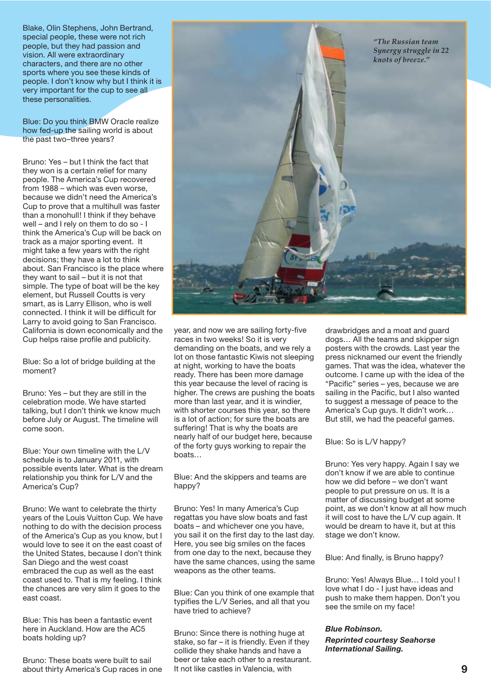Blake, Olin Stephens, John Bertrand, special people, these were not rich people, but they had passion and vision. All were extraordinary characters, and there are no other sports where you see these kinds of people. I don't know why but I think it is very important for the cup to see all these personalities.

Blue: Do you think BMW Oracle realize how fed-up the sailing world is about the past two–three years?

Bruno: Yes – but I think the fact that they won is a certain relief for many people. The America's Cup recovered from 1988 – which was even worse, because we didn't need the America's Cup to prove that a multihull was faster than a monohull! I think if they behave well – and I rely on them to do so - I think the America's Cup will be back on track as a major sporting event. It might take a few years with the right decisions; they have a lot to think about. San Francisco is the place where they want to sail – but it is not that simple. The type of boat will be the key element, but Russell Coutts is very smart, as is Larry Ellison, who is well connected. I think it will be difficult for Larry to avoid going to San Francisco. California is down economically and the Cup helps raise profile and publicity.

Blue: So a lot of bridge building at the moment?

Bruno: Yes – but they are still in the celebration mode. We have started talking, but I don't think we know much before July or August. The timeline will come soon.

Blue: Your own timeline with the L/V schedule is to January 2011, with possible events later. What is the dream relationship you think for L/V and the America's Cup?

Bruno: We want to celebrate the thirty years of the Louis Vuitton Cup. We have nothing to do with the decision process of the America's Cup as you know, but I would love to see it on the east coast of the United States, because I don't think San Diego and the west coast embraced the cup as well as the east coast used to. That is my feeling. I think the chances are very slim it goes to the east coast.

Blue: This has been a fantastic event here in Auckland. How are the AC5 boats holding up?

Bruno: These boats were built to sail about thirty America's Cup races in one year, and now we are sailing forty-five races in two weeks! So it is very demanding on the boats, and we rely a lot on those fantastic Kiwis not sleeping at night, working to have the boats ready. There has been more damage this year because the level of racing is higher. The crews are pushing the boats more than last year, and it is windier, with shorter courses this year, so there is a lot of action; for sure the boats are suffering! That is why the boats are nearly half of our budget here, because of the forty guys working to repair the boats…

Blue: And the skippers and teams are happy?

Bruno: Yes! In many America's Cup regattas you have slow boats and fast boats – and whichever one you have, you sail it on the first day to the last day. Here, you see big smiles on the faces from one day to the next, because they have the same chances, using the same weapons as the other teams.

Blue: Can you think of one example that typifies the L/V Series, and all that you have tried to achieve?

Bruno: Since there is nothing huge at stake, so far – it is friendly. Even if they collide they shake hands and have a beer or take each other to a restaurant. It not like castles in Valencia, with

drawbridges and a moat and guard dogs… All the teams and skipper sign posters with the crowds. Last year the press nicknamed our event the friendly games. That was the idea, whatever the outcome. I came up with the idea of the "Pacific" series – yes, because we are sailing in the Pacific, but I also wanted to suggest a message of peace to the America's Cup guys. It didn't work… But still, we had the peaceful games.

Blue: So is L/V happy?

Bruno: Yes very happy. Again I say we don't know if we are able to continue how we did before – we don't want people to put pressure on us. It is a matter of discussing budget at some point, as we don't know at all how much it will cost to have the L/V cup again. It would be dream to have it, but at this stage we don't know.

Blue: And finally, is Bruno happy?

Bruno: Yes! Always Blue… I told you! I love what I do - I just have ideas and push to make them happen. Don't you see the smile on my face!

#### *Blue Robinson.*

#### *Reprinted courtesy Seahorse International Sailing.*

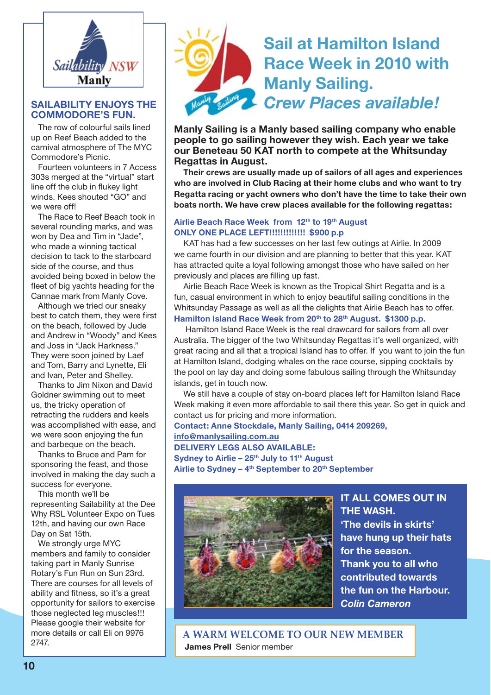

#### **Sailability enjoys the Commodore's Fun.**

The row of colourful sails lined up on Reef Beach added to the carnival atmosphere of The MYC Commodore's Picnic.

Fourteen volunteers in 7 Access 303s merged at the "virtual" start line off the club in flukey light winds. Kees shouted "GO" and we were off!

The Race to Reef Beach took in several rounding marks, and was won by Dea and Tim in "Jade", who made a winning tactical decision to tack to the starboard side of the course, and thus avoided being boxed in below the fleet of big yachts heading for the Cannae mark from Manly Cove.

Although we tried our sneaky best to catch them, they were first on the beach, followed by Jude and Andrew in "Woody" and Kees and Joss in "Jack Harkness." They were soon joined by Laef and Tom, Barry and Lynette, Eli and Ivan, Peter and Shelley.

Thanks to Jim Nixon and David Goldner swimming out to meet us, the tricky operation of retracting the rudders and keels was accomplished with ease, and we were soon enjoying the fun and barbeque on the beach.

Thanks to Bruce and Pam for sponsoring the feast, and those involved in making the day such a success for everyone.

This month we'll be representing Sailability at the Dee Why RSL Volunteer Expo on Tues 12th, and having our own Race Day on Sat 15th.

We strongly urge MYC members and family to consider taking part in Manly Sunrise Rotary's Fun Run on Sun 23rd. There are courses for all levels of ability and fitness, so it's a great opportunity for sailors to exercise those neglected leg muscles!!! Please google their website for more details or call Eli on 9976 2747.



## **Sail at Hamilton Island Race Week in 2010 with Manly Sailing.** *Crew Places available!*

**Manly Sailing is a Manly based sailing company who enable people to go sailing however they wish. Each year we take our Beneteau 50 KAT north to compete at the Whitsunday Regattas in August.**

**Their crews are usually made up of sailors of all ages and experiences who are involved in Club Racing at their home clubs and who want to try Regatta racing or yacht owners who don't have the time to take their own boats north. We have crew places available for the following regattas:**

#### **Airlie Beach Race Week from 12th to 19th August ONLY ONE PLACE LEFT!!!!!!!!!!!!! \$900 p.p**

KAT has had a few successes on her last few outings at Airlie. In 2009 we came fourth in our division and are planning to better that this year. KAT has attracted quite a loyal following amongst those who have sailed on her previously and places are filling up fast.

Airlie Beach Race Week is known as the Tropical Shirt Regatta and is a fun, casual environment in which to enjoy beautiful sailing conditions in the Whitsunday Passage as well as all the delights that Airlie Beach has to offer. Hamilton Island Race Week from 20<sup>th</sup> to 28<sup>th</sup> August. \$1300 p.p.

 Hamilton Island Race Week is the real drawcard for sailors from all over Australia. The bigger of the two Whitsunday Regattas it's well organized, with great racing and all that a tropical Island has to offer. If you want to join the fun at Hamilton Island, dodging whales on the race course, sipping cocktails by the pool on lay day and doing some fabulous sailing through the Whitsunday islands, get in touch now.

We still have a couple of stay on-board places left for Hamilton Island Race Week making it even more affordable to sail there this year. So get in quick and contact us for pricing and more information.

**Contact: Anne Stockdale, Manly Sailing, 0414 209269, info@manlysailing.com.au DELIVERY LEGS ALSO AVAILABLE: Sydney to Airlie – 25th July to 11th August Airlie to Sydney – 4th September to 20th September**



**IT ALL COMES OUT IN THE WASH. 'The devils in skirts' have hung up their hats for the season. Thank you to all who contributed towards the fun on the Harbour.** *Colin Cameron*

**A warm welCome to our new member James Prell** Senior member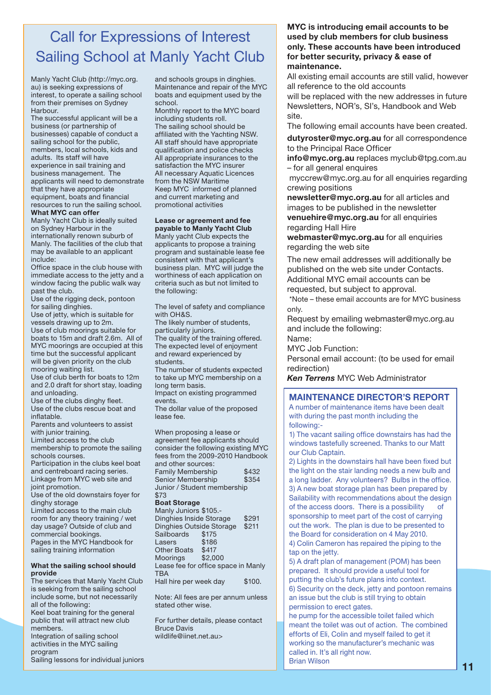## Call for Expressions of Interest Sailing School at Manly Yacht Club

Manly Yacht Club (http://myc.org. au) is seeking expressions of interest, to operate a sailing school from their premises on Sydney Harbour.

The successful applicant will be a business (or partnership of businesses) capable of conduct a sailing school for the public, members, local schools, kids and adults. Its staff will have experience in sail training and business management. The applicants will need to demonstrate that they have appropriate equipment, boats and financial resources to run the sailing school. **What MYC can offer**

Manly Yacht Club is ideally suited on Sydney Harbour in the internationally renown suburb of Manly. The facilities of the club that may be available to an applicant include:

Office space in the club house with immediate access to the jetty and a window facing the public walk way past the club.

Use of the rigging deck, pontoon for sailing dinghies.

Use of jetty, which is suitable for vessels drawing up to 2m. Use of club moorings suitable for boats to 15m and draft 2.6m. All of MYC moorings are occupied at this time but the successful applicant will be given priority on the club mooring waiting list.

Use of club berth for boats to 12m and 2.0 draft for short stay, loading and unloading.

Use of the clubs dinghy fleet. Use of the clubs rescue boat and inflatable.

Parents and volunteers to assist with junior training.

Limited access to the club membership to promote the sailing schools courses.

Participation in the clubs keel boat and centreboard racing series. Linkage from MYC web site and joint promotion.

Use of the old downstairs foyer for dinghy storage

Limited access to the main club room for any theory training / wet day usage? Outside of club and commercial bookings.

Pages in the MYC Handbook for sailing training information

#### **What the sailing school should provide**

The services that Manly Yacht Club is seeking from the sailing school include some, but not necessarily all of the following:

Keel boat training for the general public that will attract new club members.

Integration of sailing school activities in the MYC sailing program

Sailing lessons for individual juniors

and schools groups in dinghies. Maintenance and repair of the MYC boats and equipment used by the school.

Monthly report to the MYC board including students roll. The sailing school should be affiliated with the Yachting NSW. All staff should have appropriate qualification and police checks All appropriate insurances to the satisfaction the MYC insurer All necessary Aquatic Licences from the NSW Maritime Keep MYC informed of planned and current marketing and promotional activities

#### **Lease or agreement and fee**

**payable to Manly Yacht Club** Manly yacht Club expects the applicants to propose a training program and sustainable lease fee consistent with that applicant's business plan. MYC will judge the worthiness of each application on criteria such as but not limited to the following:

The level of safety and compliance with OH&S. The likely number of students, particularly juniors. The quality of the training offered. The expected level of enjoyment and reward experienced by students.

The number of students expected to take up MYC membership on a long term basis.

Impact on existing programmed events.

The dollar value of the proposed lease fee.

When proposing a lease or agreement fee applicants should consider the following existing MYC fees from the 2009-2010 Handbook and other sources: Family Membership \$432 Senior Membership \$354

Junior / Student membership \$73 **Boat Storage**

Manly Juniors \$105.- Dinghies Inside Storage \$291 Dinghies Outside Storage Sailboards \$175<br>Lasers \$186 Lasers Other Boats \$417 Moorings \$2,000 Lease fee for office space in Manly **TBA** Hall hire per week day \$100.

Note: All fees are per annum unless

stated other wise.

For further details, please contact Bruce Davis wildlife@iinet.net.au>

#### **MYC is introducing email accounts to be used by club members for club business only. These accounts have been introduced for better security, privacy & ease of maintenance.**

All existing email accounts are still valid, however all reference to the old accounts

will be replaced with the new addresses in future Newsletters, NOR's, SI's, Handbook and Web site.

The following email accounts have been created.

**dutyroster@myc.org.au** for all correspondence to the Principal Race Officer

**info@myc.org.au** replaces myclub@tpg.com.au – for all general enquires

 myccrew@myc.org.au for all enquiries regarding crewing positions

**newsletter@myc.org.au** for all articles and images to be published in the newsletter **venuehire@myc.org.au** for all enquiries regarding Hall Hire

**webmaster@myc.org.au** for all enquiries regarding the web site

The new email addresses will additionally be published on the web site under Contacts. Additional MYC email accounts can be requested, but subject to approval.

\*Note – these email accounts are for MYC business only.

Request by emailing webmaster@myc.org.au and include the following:

Name:

MYC Job Function:

Personal email account: (to be used for email redirection)

*Ken Terrens* MYC Web Administrator

#### **Maintenance Director's Report**

A number of maintenance items have been dealt with during the past month including the following:-

1) The vacant sailing office downstairs has had the windows tastefully screened. Thanks to our Matt our Club Captain.

2) Lights in the downstairs hall have been fixed but the light on the stair landing needs a new bulb and a long ladder. Any volunteers? Bulbs in the office. 3) A new boat storage plan has been prepared by Sailability with recommendations about the design of the access doors. There is a possibility of sponsorship to meet part of the cost of carrying out the work. The plan is due to be presented to the Board for consideration on 4 May 2010. 4) Colin Cameron has repaired the piping to the

tap on the jetty.

5) A draft plan of management (POM) has been prepared. It should provide a useful tool for putting the club's future plans into context. 6) Security on the deck, jetty and pontoon remains an issue but the club is still trying to obtain permission to erect gates.

he pump for the accessible toilet failed which meant the toilet was out of action. The combined efforts of Eli, Colin and myself failed to get it working so the manufacturer's mechanic was called in. It's all right now. Brian Wilson